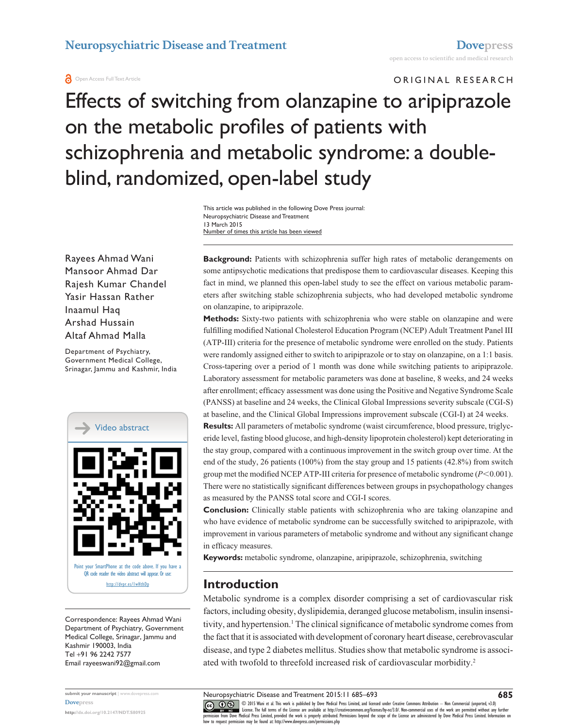### **a** Open Access Full Text Article

ORIGINAL RESEARCH

Effects of switching from olanzapine to aripiprazole on the metabolic profiles of patients with schizophrenia and metabolic syndrome: a doubleblind, randomized, open-label study

> This article was published in the following Dove Press journal: Neuropsychiatric Disease and Treatment 13 March 2015 Number of times this article has been viewed

Rayees Ahmad Wani Mansoor Ahmad Dar Rajesh Kumar Chandel Yasir Hassan Rather Inaamul Haq Arshad Hussain Altaf Ahmad Malla

Department of Psychiatry, Government Medical College, Srinagar, Jammu and Kashmir, India



Correspondence: Rayees Ahmad Wani Department of Psychiatry, Government Medical College, Srinagar, Jammu and Kashmir 190003, India Tel +91 96 2242 7577 Email [rayeeswani92@gmail.com](mailto:rayeeswani92@gmail.com)

**submit your manuscript** | <www.dovepress.com> **[Dovepress](www.dovepress.com) <http://dx.doi.org/10.2147/NDT.S80925>**

**Background:** Patients with schizophrenia suffer high rates of metabolic derangements on some antipsychotic medications that predispose them to cardiovascular diseases. Keeping this fact in mind, we planned this open-label study to see the effect on various metabolic parameters after switching stable schizophrenia subjects, who had developed metabolic syndrome on olanzapine, to aripiprazole.

**Methods:** Sixty-two patients with schizophrenia who were stable on olanzapine and were fulfilling modified National Cholesterol Education Program (NCEP) Adult Treatment Panel III (ATP-III) criteria for the presence of metabolic syndrome were enrolled on the study. Patients were randomly assigned either to switch to aripiprazole or to stay on olanzapine, on a 1:1 basis. Cross-tapering over a period of 1 month was done while switching patients to aripiprazole. Laboratory assessment for metabolic parameters was done at baseline, 8 weeks, and 24 weeks after enrollment; efficacy assessment was done using the Positive and Negative Syndrome Scale (PANSS) at baseline and 24 weeks, the Clinical Global Impressions severity subscale (CGI-S) at baseline, and the Clinical Global Impressions improvement subscale (CGI-I) at 24 weeks.

**Results:** All parameters of metabolic syndrome (waist circumference, blood pressure, triglyceride level, fasting blood glucose, and high-density lipoprotein cholesterol) kept deteriorating in the stay group, compared with a continuous improvement in the switch group over time. At the end of the study, 26 patients (100%) from the stay group and 15 patients (42.8%) from switch group met the modified NCEP ATP-III criteria for presence of metabolic syndrome ( $P$ <0.001). There were no statistically significant differences between groups in psychopathology changes as measured by the PANSS total score and CGI-I scores.

**Conclusion:** Clinically stable patients with schizophrenia who are taking olanzapine and who have evidence of metabolic syndrome can be successfully switched to aripiprazole, with improvement in various parameters of metabolic syndrome and without any significant change in efficacy measures.

**Keywords:** metabolic syndrome, olanzapine, aripiprazole, schizophrenia, switching

# **Introduction**

Metabolic syndrome is a complex disorder comprising a set of cardiovascular risk factors, including obesity, dyslipidemia, deranged glucose metabolism, insulin insensitivity, and hypertension.1 The clinical significance of metabolic syndrome comes from the fact that it is associated with development of coronary heart disease, cerebrovascular disease, and type 2 diabetes mellitus. Studies show that metabolic syndrome is associated with twofold to threefold increased risk of cardiovascular morbidity.<sup>2</sup>

CO OD S Viani et al. This work is published by Dove Medical Press Limited, and licensed under Creative Commons Attribution - Non Commercial (unported, v3.0)<br> [permission from Dove M](http://www.dovepress.com/permissions.php)edical Press Limited, provided the work is how to request permission may be found at: http://www.dovepress.com/permissions.php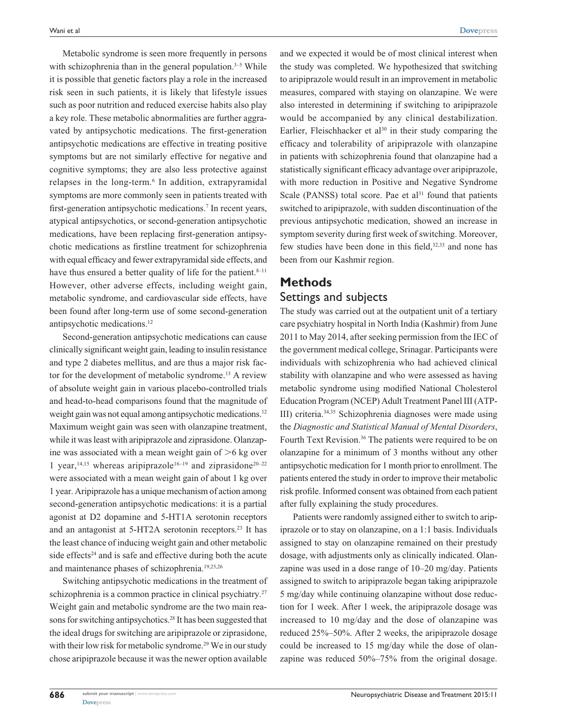Metabolic syndrome is seen more frequently in persons with schizophrenia than in the general population. $3-5$  While it is possible that genetic factors play a role in the increased risk seen in such patients, it is likely that lifestyle issues such as poor nutrition and reduced exercise habits also play a key role. These metabolic abnormalities are further aggravated by antipsychotic medications. The first-generation antipsychotic medications are effective in treating positive symptoms but are not similarly effective for negative and cognitive symptoms; they are also less protective against relapses in the long-term.<sup>6</sup> In addition, extrapyramidal symptoms are more commonly seen in patients treated with first-generation antipsychotic medications.<sup>7</sup> In recent years, atypical antipsychotics, or second-generation antipsychotic medications, have been replacing first-generation antipsychotic medications as firstline treatment for schizophrenia with equal efficacy and fewer extrapyramidal side effects, and have thus ensured a better quality of life for the patient.<sup>8-11</sup> However, other adverse effects, including weight gain, metabolic syndrome, and cardiovascular side effects, have been found after long-term use of some second-generation antipsychotic medications.12

Second-generation antipsychotic medications can cause clinically significant weight gain, leading to insulin resistance and type 2 diabetes mellitus, and are thus a major risk factor for the development of metabolic syndrome.<sup>13</sup> A review of absolute weight gain in various placebo-controlled trials and head-to-head comparisons found that the magnitude of weight gain was not equal among antipsychotic medications.<sup>12</sup> Maximum weight gain was seen with olanzapine treatment, while it was least with aripiprazole and ziprasidone. Olanzapine was associated with a mean weight gain of  $>6$  kg over 1 year,<sup>14,15</sup> whereas aripiprazole<sup>16-19</sup> and ziprasidone<sup>20-22</sup> were associated with a mean weight gain of about 1 kg over 1 year. Aripiprazole has a unique mechanism of action among second-generation antipsychotic medications: it is a partial agonist at D2 dopamine and 5-HT1A serotonin receptors and an antagonist at 5-HT2A serotonin receptors.<sup>23</sup> It has the least chance of inducing weight gain and other metabolic side effects $24$  and is safe and effective during both the acute and maintenance phases of schizophrenia.19,25,26

Switching antipsychotic medications in the treatment of schizophrenia is a common practice in clinical psychiatry.<sup>27</sup> Weight gain and metabolic syndrome are the two main reasons for switching antipsychotics.<sup>28</sup> It has been suggested that the ideal drugs for switching are aripiprazole or ziprasidone, with their low risk for metabolic syndrome.<sup>29</sup> We in our study chose aripiprazole because it was the newer option available and we expected it would be of most clinical interest when the study was completed. We hypothesized that switching to aripiprazole would result in an improvement in metabolic measures, compared with staying on olanzapine. We were also interested in determining if switching to aripiprazole would be accompanied by any clinical destabilization. Earlier, Fleischhacker et al $30$  in their study comparing the efficacy and tolerability of aripiprazole with olanzapine in patients with schizophrenia found that olanzapine had a statistically significant efficacy advantage over aripiprazole, with more reduction in Positive and Negative Syndrome Scale (PANSS) total score. Pae et al $31$  found that patients switched to aripiprazole, with sudden discontinuation of the previous antipsychotic medication, showed an increase in symptom severity during first week of switching. Moreover, few studies have been done in this field,<sup>32,33</sup> and none has been from our Kashmir region.

# **Methods** Settings and subjects

The study was carried out at the outpatient unit of a tertiary care psychiatry hospital in North India (Kashmir) from June 2011 to May 2014, after seeking permission from the IEC of the government medical college, Srinagar. Participants were individuals with schizophrenia who had achieved clinical stability with olanzapine and who were assessed as having metabolic syndrome using modified National Cholesterol Education Program (NCEP) Adult Treatment Panel III (ATP-III) criteria.34,35 Schizophrenia diagnoses were made using the *Diagnostic and Statistical Manual of Mental Disorders*, Fourth Text Revision.36 The patients were required to be on olanzapine for a minimum of 3 months without any other antipsychotic medication for 1 month prior to enrollment. The patients entered the study in order to improve their metabolic risk profile. Informed consent was obtained from each patient after fully explaining the study procedures.

Patients were randomly assigned either to switch to aripiprazole or to stay on olanzapine, on a 1:1 basis. Individuals assigned to stay on olanzapine remained on their prestudy dosage, with adjustments only as clinically indicated. Olanzapine was used in a dose range of 10–20 mg/day. Patients assigned to switch to aripiprazole began taking aripiprazole 5 mg/day while continuing olanzapine without dose reduction for 1 week. After 1 week, the aripiprazole dosage was increased to 10 mg/day and the dose of olanzapine was reduced 25%–50%. After 2 weeks, the aripiprazole dosage could be increased to 15 mg/day while the dose of olanzapine was reduced 50%–75% from the original dosage.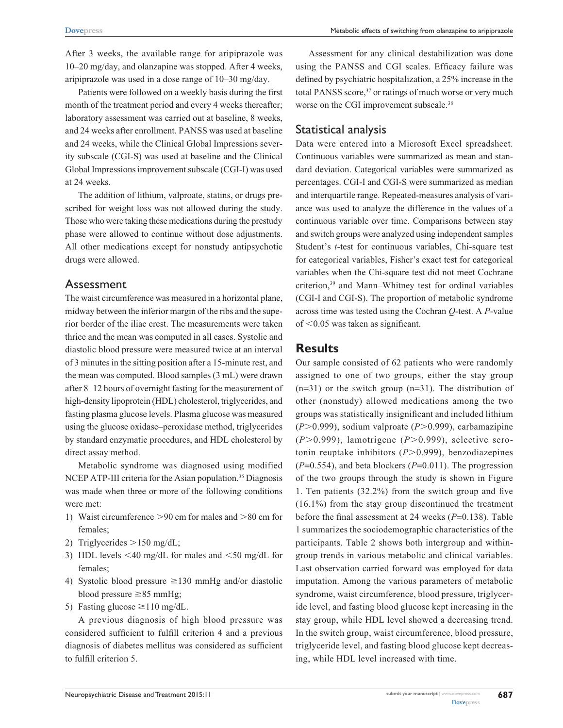After 3 weeks, the available range for aripiprazole was 10–20 mg/day, and olanzapine was stopped. After 4 weeks, aripiprazole was used in a dose range of 10–30 mg/day.

Patients were followed on a weekly basis during the first month of the treatment period and every 4 weeks thereafter; laboratory assessment was carried out at baseline, 8 weeks, and 24 weeks after enrollment. PANSS was used at baseline and 24 weeks, while the Clinical Global Impressions severity subscale (CGI-S) was used at baseline and the Clinical Global Impressions improvement subscale (CGI-I) was used at 24 weeks.

The addition of lithium, valproate, statins, or drugs prescribed for weight loss was not allowed during the study. Those who were taking these medications during the prestudy phase were allowed to continue without dose adjustments. All other medications except for nonstudy antipsychotic drugs were allowed.

## Assessment

The waist circumference was measured in a horizontal plane, midway between the inferior margin of the ribs and the superior border of the iliac crest. The measurements were taken thrice and the mean was computed in all cases. Systolic and diastolic blood pressure were measured twice at an interval of 3 minutes in the sitting position after a 15-minute rest, and the mean was computed. Blood samples (3 mL) were drawn after 8–12 hours of overnight fasting for the measurement of high-density lipoprotein (HDL) cholesterol, triglycerides, and fasting plasma glucose levels. Plasma glucose was measured using the glucose oxidase–peroxidase method, triglycerides by standard enzymatic procedures, and HDL cholesterol by direct assay method.

Metabolic syndrome was diagnosed using modified NCEP ATP-III criteria for the Asian population.<sup>35</sup> Diagnosis was made when three or more of the following conditions were met:

- 1) Waist circumference  $>90$  cm for males and  $>80$  cm for females;
- 2) Triglycerides  $>150$  mg/dL;
- 3) HDL levels  $\leq 40$  mg/dL for males and  $\leq 50$  mg/dL for females;
- 4) Systolic blood pressure  $\geq$ 130 mmHg and/or diastolic blood pressure  $\geq 85$  mmHg;
- 5) Fasting glucose  $\geq$  110 mg/dL.

A previous diagnosis of high blood pressure was considered sufficient to fulfill criterion 4 and a previous diagnosis of diabetes mellitus was considered as sufficient to fulfill criterion 5.

Assessment for any clinical destabilization was done using the PANSS and CGI scales. Efficacy failure was defined by psychiatric hospitalization, a 25% increase in the total PANSS score,<sup>37</sup> or ratings of much worse or very much worse on the CGI improvement subscale.<sup>38</sup>

# Statistical analysis

Data were entered into a Microsoft Excel spreadsheet. Continuous variables were summarized as mean and standard deviation. Categorical variables were summarized as percentages. CGI-I and CGI-S were summarized as median and interquartile range. Repeated-measures analysis of variance was used to analyze the difference in the values of a continuous variable over time. Comparisons between stay and switch groups were analyzed using independent samples Student's *t*-test for continuous variables, chi-square test for categorical variables, Fisher's exact test for categorical variables when the chi-square test did not meet Cochrane criterion,39 and Mann–Whitney test for ordinal variables (CGI-I and CGI-S). The proportion of metabolic syndrome across time was tested using the Cochran *Q-*test. A *P*-value of  $\leq 0.05$  was taken as significant.

# **Results**

Our sample consisted of 62 patients who were randomly assigned to one of two groups, either the stay group  $(n=31)$  or the switch group  $(n=31)$ . The distribution of other (nonstudy) allowed medications among the two groups was statistically insignificant and included lithium (*P*.0.999), sodium valproate (*P*.0.999), carbamazipine (*P*.0.999), lamotrigene (*P*.0.999), selective serotonin reuptake inhibitors ( $P$ >0.999), benzodiazepines (*P*=0.554), and beta blockers (*P*=0.011). The progression of the two groups through the study is shown in Figure 1. Ten patients (32.2%) from the switch group and five (16.1%) from the stay group discontinued the treatment before the final assessment at 24 weeks (*P*=0.138). Table 1 summarizes the sociodemographic characteristics of the participants. Table 2 shows both intergroup and withingroup trends in various metabolic and clinical variables. Last observation carried forward was employed for data imputation. Among the various parameters of metabolic syndrome, waist circumference, blood pressure, triglyceride level, and fasting blood glucose kept increasing in the stay group, while HDL level showed a decreasing trend. In the switch group, waist circumference, blood pressure, triglyceride level, and fasting blood glucose kept decreasing, while HDL level increased with time.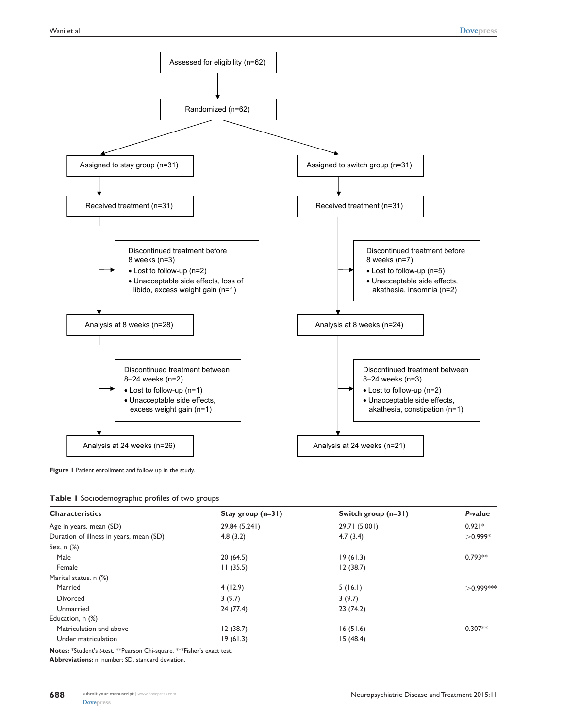

**Figure 1** Patient enrollment and follow up in the study.

|  |  | Table I Sociodemographic profiles of two groups |  |  |  |
|--|--|-------------------------------------------------|--|--|--|
|--|--|-------------------------------------------------|--|--|--|

| <b>Characteristics</b>                  | Stay group $(n=31)$ | Switch group $(n=31)$ | P-value<br>$0.921*$ |  |
|-----------------------------------------|---------------------|-----------------------|---------------------|--|
| Age in years, mean (SD)                 | 29.84 (5.241)       | 29.71 (5.001)         |                     |  |
| Duration of illness in years, mean (SD) | 4.8(3.2)            | 4.7(3.4)              | $>0.999*$           |  |
| Sex, n (%)                              |                     |                       |                     |  |
| Male                                    | 20(64.5)            | 19(61.3)              | $0.793**$           |  |
| Female                                  | 11(35.5)            | 12(38.7)              |                     |  |
| Marital status, n (%)                   |                     |                       |                     |  |
| Married                                 | 4(12.9)             | 5(16.1)               | $>0.999***$         |  |
| Divorced                                | 3(9.7)              | 3(9.7)                |                     |  |
| Unmarried                               | 24(77.4)            | 23(74.2)              |                     |  |
| Education, n (%)                        |                     |                       |                     |  |
| Matriculation and above                 | 12(38.7)            | 16(51.6)              | $0.307**$           |  |
| Under matriculation                     | 19(61.3)            | 15(48.4)              |                     |  |

**Notes:** \*Student's *t-*test. \*\*Pearson chi-square. \*\*\*Fisher's exact test.

**Abbreviations:** n, number; SD, standard deviation.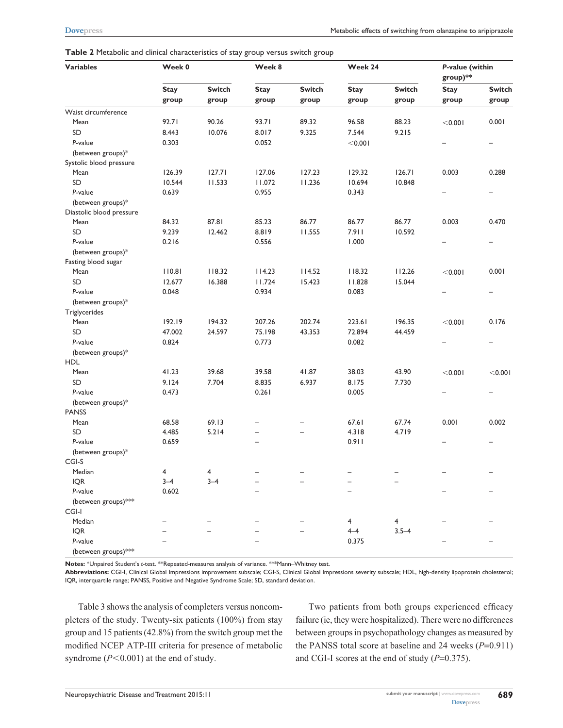#### **Table 2** Metabolic and clinical characteristics of stay group versus switch group

| <b>Variables</b>         | Week 0               |                        | Week 8                   |               | Week 24     |               | P-value (within<br>group)** |               |
|--------------------------|----------------------|------------------------|--------------------------|---------------|-------------|---------------|-----------------------------|---------------|
|                          | <b>Stay</b><br>group | <b>Switch</b><br>group | <b>Stay</b><br>group     | <b>Switch</b> | <b>Stay</b> | <b>Switch</b> | <b>Stay</b>                 | <b>Switch</b> |
|                          |                      |                        |                          | group         | group       | group         | group                       | group         |
| Waist circumference      |                      |                        |                          |               |             |               |                             |               |
| Mean                     | 92.71                | 90.26                  | 93.71                    | 89.32         | 96.58       | 88.23         | < 0.001                     | 0.001         |
| SD                       | 8.443                | 10.076                 | 8.017                    | 9.325         | 7.544       | 9.215         |                             |               |
| P-value                  | 0.303                |                        | 0.052                    |               | < 0.001     |               |                             |               |
| (between groups)*        |                      |                        |                          |               |             |               |                             |               |
| Systolic blood pressure  |                      |                        |                          |               |             |               |                             |               |
| Mean                     | 126.39               | 127.71                 | 127.06                   | 127.23        | 129.32      | 126.71        | 0.003                       | 0.288         |
| SD                       | 10.544               | 11.533                 | 11.072                   | 11.236        | 10.694      | 10.848        |                             |               |
| P-value                  | 0.639                |                        | 0.955                    |               | 0.343       |               |                             |               |
| (between groups)*        |                      |                        |                          |               |             |               |                             |               |
| Diastolic blood pressure |                      |                        |                          |               |             |               |                             |               |
| Mean                     | 84.32                | 87.81                  | 85.23                    | 86.77         | 86.77       | 86.77         | 0.003                       | 0.470         |
| SD                       | 9.239                | 12.462                 | 8.819                    | 11.555        | 7.911       | 10.592        |                             |               |
| P-value                  | 0.216                |                        | 0.556                    |               | 1.000       |               |                             |               |
| (between groups)*        |                      |                        |                          |               |             |               |                             |               |
| Fasting blood sugar      |                      |                        |                          |               |             |               |                             |               |
| Mean                     | 110.81               | 118.32                 | 114.23                   | 114.52        | 118.32      | 112.26        | < 0.001                     | 0.001         |
| SD                       | 12.677               | 16.388                 | 11.724                   | 15.423        | 11.828      | 15.044        |                             |               |
| P-value                  | 0.048                |                        | 0.934                    |               | 0.083       |               |                             |               |
| (between groups)*        |                      |                        |                          |               |             |               |                             |               |
| Triglycerides            |                      |                        |                          |               |             |               |                             |               |
| Mean                     | 192.19               | 194.32                 | 207.26                   | 202.74        | 223.61      | 196.35        | < 0.001                     | 0.176         |
| SD                       | 47.002               | 24.597                 | 75.198                   | 43.353        | 72.894      | 44.459        |                             |               |
| P-value                  | 0.824                |                        | 0.773                    |               | 0.082       |               |                             |               |
| (between groups)*        |                      |                        |                          |               |             |               |                             |               |
| <b>HDL</b>               |                      |                        |                          |               |             |               |                             |               |
| Mean                     | 41.23                | 39.68                  | 39.58                    | 41.87         | 38.03       | 43.90         | < 0.001                     | < 0.001       |
| SD                       | 9.124                | 7.704                  | 8.835                    | 6.937         | 8.175       | 7.730         |                             |               |
| P-value                  | 0.473                |                        | 0.261                    |               | 0.005       |               |                             |               |
| (between groups)*        |                      |                        |                          |               |             |               |                             |               |
| <b>PANSS</b>             |                      |                        |                          |               |             |               |                             |               |
| Mean                     | 68.58                | 69.13                  |                          |               | 67.61       | 67.74         | 0.001                       | 0.002         |
| SD                       | 4.485                | 5.214                  | $\overline{\phantom{0}}$ | $\equiv$      | 4.318       | 4.719         |                             |               |
| P-value                  | 0.659                |                        |                          |               | 0.911       |               |                             |               |
| (between groups)*        |                      |                        |                          |               |             |               |                             |               |
| CGI-S                    |                      |                        |                          |               |             |               |                             |               |
| Median                   | 4                    | 4                      |                          |               |             |               |                             |               |
| <b>IQR</b>               | $3 - 4$              | $3 - 4$                |                          |               |             |               |                             |               |
| P-value                  | 0.602                |                        |                          |               |             |               |                             |               |
| (between groups)***      |                      |                        |                          |               |             |               |                             |               |
| CGI-I                    |                      |                        |                          |               |             |               |                             |               |
| Median                   |                      |                        |                          |               | 4           | 4             |                             |               |
| <b>IQR</b>               |                      |                        |                          |               | $4 - 4$     | $3.5 - 4$     |                             |               |
| P-value                  |                      |                        |                          |               | 0.375       |               |                             |               |
| (between groups)***      |                      |                        |                          |               |             |               |                             |               |

**Notes:** \*Unpaired Student's *t*-test. \*\*Repeated-measures analysis of variance. \*\*\*Mann–Whitney test.

**Abbreviations:** CGI-I, Clinical Global Impressions improvement subscale; CGI-S, Clinical Global Impressions severity subscale; HDL, high-density lipoprotein cholesterol; IQR, interquartile range; PANSS, Positive and Negative Syndrome Scale; SD, standard deviation.

Table 3 shows the analysis of completers versus noncompleters of the study. Twenty-six patients (100%) from stay group and 15 patients (42.8%) from the switch group met the modified NCEP ATP-III criteria for presence of metabolic syndrome  $(P<0.001)$  at the end of study.

Two patients from both groups experienced efficacy failure (ie, they were hospitalized). There were no differences between groups in psychopathology changes as measured by the PANSS total score at baseline and 24 weeks (*P*=0.911) and CGI-I scores at the end of study (*P*=0.375).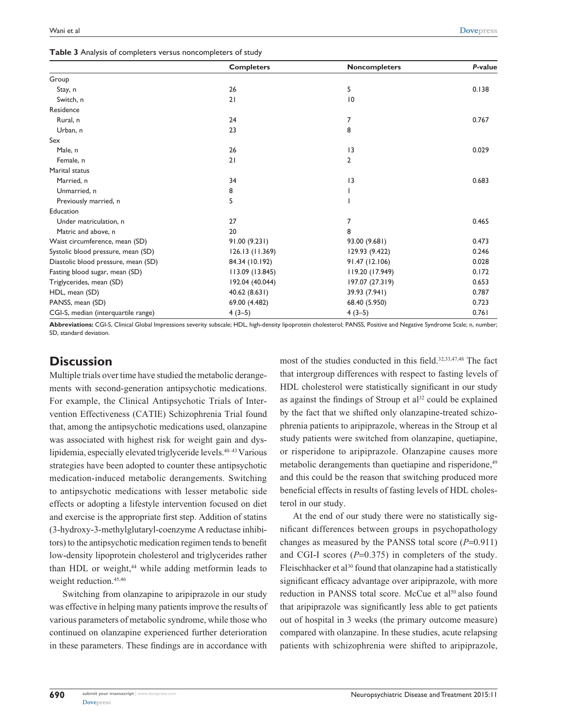|  | Table 3 Analysis of completers versus noncompleters of study |  |
|--|--------------------------------------------------------------|--|
|--|--------------------------------------------------------------|--|

|                                     | <b>Completers</b> | <b>Noncompleters</b> | P-value |
|-------------------------------------|-------------------|----------------------|---------|
| Group                               |                   |                      |         |
| Stay, n                             | 26                | 5                    | 0.138   |
| Switch, n                           | 21                | 10                   |         |
| Residence                           |                   |                      |         |
| Rural, n                            | 24                | 7                    | 0.767   |
| Urban, n                            | 23                | 8                    |         |
| Sex                                 |                   |                      |         |
| Male, n                             | 26                | 13                   | 0.029   |
| Female, n                           | 21                | $\overline{2}$       |         |
| Marital status                      |                   |                      |         |
| Married, n                          | 34                | 3                    | 0.683   |
| Unmarried, n                        | 8                 |                      |         |
| Previously married, n               | 5                 |                      |         |
| Education                           |                   |                      |         |
| Under matriculation, n              | 27                | 7                    | 0.465   |
| Matric and above, n                 | 20                | 8                    |         |
| Waist circumference, mean (SD)      | 91.00 (9.231)     | 93.00 (9.681)        | 0.473   |
| Systolic blood pressure, mean (SD)  | 126.13(11.369)    | 129.93 (9.422)       | 0.246   |
| Diastolic blood pressure, mean (SD) | 84.34 (10.192)    | 91.47 (12.106)       | 0.028   |
| Fasting blood sugar, mean (SD)      | 113.09 (13.845)   | 119.20 (17.949)      | 0.172   |
| Triglycerides, mean (SD)            | 192.04 (40.044)   | 197.07 (27.319)      | 0.653   |
| HDL, mean (SD)                      | 40.62 (8.631)     | 39.93 (7.941)        | 0.787   |
| PANSS, mean (SD)                    | 69.00 (4.482)     | 68.40 (5.950)        | 0.723   |
| CGI-S, median (interquartile range) | $4(3-5)$          | $4(3-5)$             | 0.761   |

**Abbreviations:** CGI-S, Clinical Global Impressions severity subscale; HDL, high-density lipoprotein cholesterol; PANSS, Positive and Negative Syndrome Scale; n, number; SD, standard deviation.

# **Discussion**

Multiple trials over time have studied the metabolic derangements with second-generation antipsychotic medications. For example, the Clinical Antipsychotic Trials of Intervention Effectiveness (CATIE) Schizophrenia Trial found that, among the antipsychotic medications used, olanzapine was associated with highest risk for weight gain and dyslipidemia, especially elevated triglyceride levels.40–43 Various strategies have been adopted to counter these antipsychotic medication-induced metabolic derangements. Switching to antipsychotic medications with lesser metabolic side effects or adopting a lifestyle intervention focused on diet and exercise is the appropriate first step. Addition of statins (3-hydroxy-3-methylglutaryl-coenzyme A reductase inhibitors) to the antipsychotic medication regimen tends to benefit low-density lipoprotein cholesterol and triglycerides rather than HDL or weight,<sup>44</sup> while adding metformin leads to weight reduction.<sup>45,46</sup>

Switching from olanzapine to aripiprazole in our study was effective in helping many patients improve the results of various parameters of metabolic syndrome, while those who continued on olanzapine experienced further deterioration in these parameters. These findings are in accordance with most of the studies conducted in this field.<sup>32,33,47,48</sup> The fact that intergroup differences with respect to fasting levels of HDL cholesterol were statistically significant in our study as against the findings of Stroup et  $al<sup>32</sup>$  could be explained by the fact that we shifted only olanzapine-treated schizophrenia patients to aripiprazole, whereas in the Stroup et al study patients were switched from olanzapine, quetiapine, or risperidone to aripiprazole. Olanzapine causes more metabolic derangements than quetiapine and risperidone,<sup>49</sup> and this could be the reason that switching produced more beneficial effects in results of fasting levels of HDL cholesterol in our study.

At the end of our study there were no statistically significant differences between groups in psychopathology changes as measured by the PANSS total score (*P*=0.911) and CGI-I scores ( $P=0.375$ ) in completers of the study. Fleischhacker et al<sup>30</sup> found that olanzapine had a statistically significant efficacy advantage over aripiprazole, with more reduction in PANSS total score. McCue et al<sup>50</sup> also found that aripiprazole was significantly less able to get patients out of hospital in 3 weeks (the primary outcome measure) compared with olanzapine. In these studies, acute relapsing patients with schizophrenia were shifted to aripiprazole,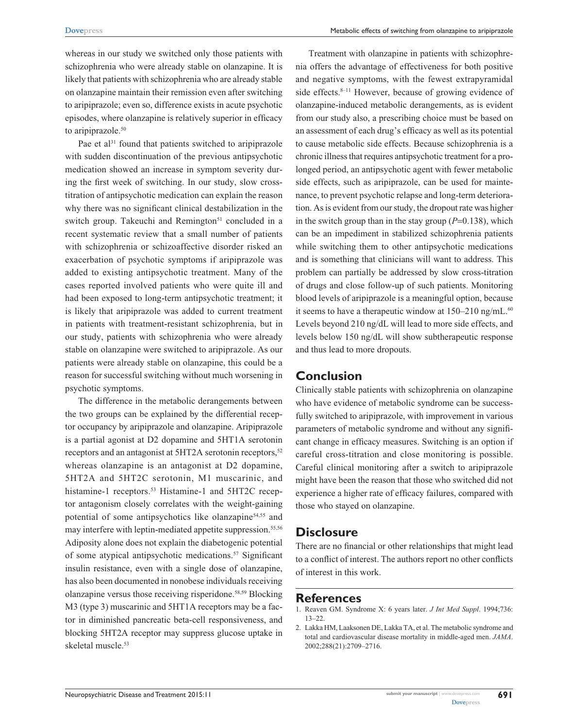whereas in our study we switched only those patients with schizophrenia who were already stable on olanzapine. It is likely that patients with schizophrenia who are already stable on olanzapine maintain their remission even after switching to aripiprazole; even so, difference exists in acute psychotic episodes, where olanzapine is relatively superior in efficacy to aripiprazole.<sup>50</sup>

Pae et  $al<sup>31</sup>$  found that patients switched to aripiprazole with sudden discontinuation of the previous antipsychotic medication showed an increase in symptom severity during the first week of switching. In our study, slow crosstitration of antipsychotic medication can explain the reason why there was no significant clinical destabilization in the switch group. Takeuchi and Remington<sup>51</sup> concluded in a recent systematic review that a small number of patients with schizophrenia or schizoaffective disorder risked an exacerbation of psychotic symptoms if aripiprazole was added to existing antipsychotic treatment. Many of the cases reported involved patients who were quite ill and had been exposed to long-term antipsychotic treatment; it is likely that aripiprazole was added to current treatment in patients with treatment-resistant schizophrenia, but in our study, patients with schizophrenia who were already stable on olanzapine were switched to aripiprazole. As our patients were already stable on olanzapine, this could be a reason for successful switching without much worsening in psychotic symptoms.

The difference in the metabolic derangements between the two groups can be explained by the differential receptor occupancy by aripiprazole and olanzapine. Aripiprazole is a partial agonist at D2 dopamine and 5HT1A serotonin receptors and an antagonist at 5HT2A serotonin receptors,<sup>52</sup> whereas olanzapine is an antagonist at D2 dopamine, 5HT2A and 5HT2c serotonin, M1 muscarinic, and histamine-1 receptors.<sup>53</sup> Histamine-1 and 5HT2C receptor antagonism closely correlates with the weight-gaining potential of some antipsychotics like olanzapine54,55 and may interfere with leptin-mediated appetite suppression.<sup>55,56</sup> Adiposity alone does not explain the diabetogenic potential of some atypical antipsychotic medications.<sup>57</sup> Significant insulin resistance, even with a single dose of olanzapine, has also been documented in nonobese individuals receiving olanzapine versus those receiving risperidone.58,59 Blocking M3 (type 3) muscarinic and 5HT1A receptors may be a factor in diminished pancreatic beta-cell responsiveness, and blocking 5HT2A receptor may suppress glucose uptake in skeletal muscle.<sup>53</sup>

Treatment with olanzapine in patients with schizophrenia offers the advantage of effectiveness for both positive and negative symptoms, with the fewest extrapyramidal side effects.<sup>8–11</sup> However, because of growing evidence of olanzapine-induced metabolic derangements, as is evident from our study also, a prescribing choice must be based on an assessment of each drug's efficacy as well as its potential to cause metabolic side effects. Because schizophrenia is a chronic illness that requires antipsychotic treatment for a prolonged period, an antipsychotic agent with fewer metabolic side effects, such as aripiprazole, can be used for maintenance, to prevent psychotic relapse and long-term deterioration. As is evident from our study, the dropout rate was higher in the switch group than in the stay group  $(P=0.138)$ , which can be an impediment in stabilized schizophrenia patients while switching them to other antipsychotic medications and is something that clinicians will want to address. This problem can partially be addressed by slow cross-titration of drugs and close follow-up of such patients. Monitoring blood levels of aripiprazole is a meaningful option, because it seems to have a therapeutic window at  $150-210$  ng/mL.<sup>60</sup> Levels beyond 210 ng/dL will lead to more side effects, and levels below 150 ng/dL will show subtherapeutic response and thus lead to more dropouts.

### **Conclusion**

Clinically stable patients with schizophrenia on olanzapine who have evidence of metabolic syndrome can be successfully switched to aripiprazole, with improvement in various parameters of metabolic syndrome and without any significant change in efficacy measures. Switching is an option if careful cross-titration and close monitoring is possible. Careful clinical monitoring after a switch to aripiprazole might have been the reason that those who switched did not experience a higher rate of efficacy failures, compared with those who stayed on olanzapine.

## **Disclosure**

There are no financial or other relationships that might lead to a conflict of interest. The authors report no other conflicts of interest in this work.

# **References**

- 1. Reaven GM. Syndrome X: 6 years later. *J Int Med Suppl*. 1994;736: 13–22.
- 2. Lakka HM, Laaksonen DE, Lakka TA, et al. The metabolic syndrome and total and cardiovascular disease mortality in middle-aged men. *JAMA*. 2002;288(21):2709–2716.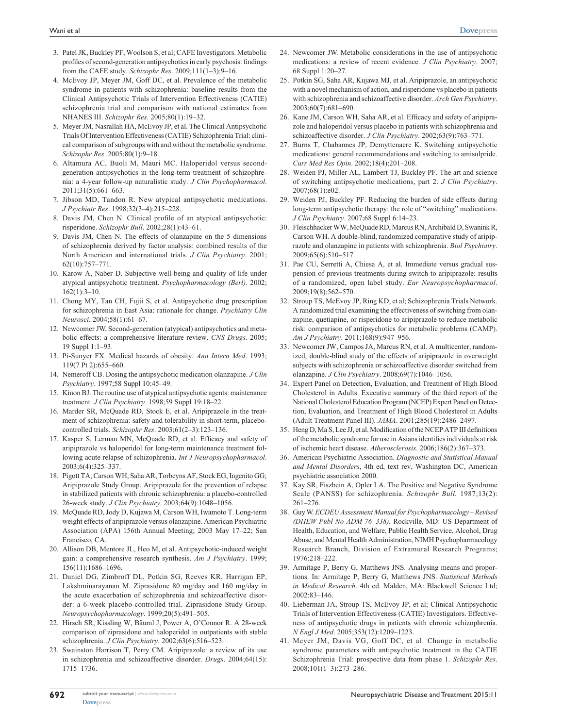- 3. Patel JK, Buckley PF, Woolson S, et al; CAFE Investigators. Metabolic profiles of second-generation antipsychotics in early psychosis: findings from the CAFE study. *Schizophr Res*. 2009;111(1–3):9–16.
- 4. McEvoy JP, Meyer JM, Goff DC, et al. Prevalence of the metabolic syndrome in patients with schizophrenia: baseline results from the Clinical Antipsychotic Trials of Intervention Effectiveness (CATIE) schizophrenia trial and comparison with national estimates from NHANES III. *Schizophr Res*. 2005;80(1):19–32.
- 5. Meyer JM, Nasrallah HA, McEvoy JP, et al. The Clinical Antipsychotic Trials Of Intervention Effectiveness (CATIE) Schizophrenia Trial: clinical comparison of subgroups with and without the metabolic syndrome. *Schizophr Res*. 2005;80(1):9–18.
- 6. Altamura AC, Buoli M, Mauri MC. Haloperidol versus secondgeneration antipsychotics in the long-term treatment of schizophrenia: a 4-year follow-up naturalistic study. *J Clin Psychopharmacol*. 2011;31(5):661–663.
- 7. Jibson MD, Tandon R. New atypical antipsychotic medications. *J Psychiatr Res*. 1998;32(3–4):215–228.
- 8. Davis JM, Chen N. Clinical profile of an atypical antipsychotic: risperidone. *Schizophr Bull*. 2002;28(1):43–61.
- 9. Davis JM, Chen N. The effects of olanzapine on the 5 dimensions of schizophrenia derived by factor analysis: combined results of the North American and international trials. *J Clin Psychiatry*. 2001; 62(10):757–771.
- 10. Karow A, Naber D. Subjective well-being and quality of life under atypical antipsychotic treatment. *Psychopharmacology (Berl).* 2002;  $162(1) \cdot 3 - 10$
- 11. Chong MY, Tan CH, Fujii S, et al. Antipsychotic drug prescription for schizophrenia in East Asia: rationale for change. *Psychiatry Clin Neurosci.* 2004;58(1):61–67.
- 12. Newcomer JW. Second-generation (atypical) antipsychotics and metabolic effects: a comprehensive literature review. *CNS Drugs*. 2005; 19 Suppl 1:1–93.
- 13. Pi-Sunyer FX. Medical hazards of obesity. *Ann Intern Med*. 1993; 119(7 Pt 2):655–660.
- 14. Nemeroff CB. Dosing the antipsychotic medication olanzapine. *J Clin Psychiatry*. 1997;58 Suppl 10:45–49.
- 15. Kinon BJ. The routine use of atypical antipsychotic agents: maintenance treatment. *J Clin Psychiatry.* 1998;59 Suppl 19:18–22.
- 16. Marder SR, McQuade RD, Stock E, et al. Aripiprazole in the treatment of schizophrenia: safety and tolerability in short-term, placebocontrolled trials. *Schizophr Res*. 2003;61(2–3):123–136.
- 17. Kasper S, Lerman MN, McQuade RD, et al. Efficacy and safety of aripiprazole vs haloperidol for long-term maintenance treatment following acute relapse of schizophrenia. *Int J Neuropsychopharmacol*. 2003;6(4):325–337.
- 18. Pigott TA, Carson WH, Saha AR, Torbeyns AF, Stock EG, Ingenito GG; Aripiprazole Study Group. Aripiprazole for the prevention of relapse in stabilized patients with chronic schizophrenia: a placebo-controlled 26-week study. *J Clin Psychiatry*. 2003;64(9):1048–1056.
- 19. McQuade RD, Jody D, Kujawa M, Carson WH, Iwamoto T. Long-term weight effects of aripiprazole versus olanzapine. American Psychiatric Association (APA) 156th Annual Meeting; 2003 May 17–22; San Francisco, CA.
- 20. Allison DB, Mentore JL, Heo M, et al. Antipsychotic-induced weight gain: a comprehensive research synthesis. *Am J Psychiatry*. 1999; 156(11):1686–1696.
- 21. Daniel DG, Zimbroff DL, Potkin SG, Reeves KR, Harrigan EP, Lakshminarayanan M. Ziprasidone 80 mg/day and 160 mg/day in the acute exacerbation of schizophrenia and schizoaffective disorder: a 6-week placebo-controlled trial. Ziprasidone Study Group. *Neuropsychopharmacology*. 1999;20(5):491–505.
- 22. Hirsch SR, Kissling W, Bäuml J, Power A, O'Connor R. A 28-week comparison of ziprasidone and haloperidol in outpatients with stable schizophrenia. *J Clin Psychiatry*. 2002;63(6):516–523.
- 23. Swainston Harrison T, Perry CM. Aripiprazole: a review of its use in schizophrenia and schizoaffective disorder. *Drugs*. 2004;64(15): 1715–1736.
- 24. Newcomer JW. Metabolic considerations in the use of antipsychotic medications: a review of recent evidence. *J Clin Psychiatry*. 2007; 68 Suppl 1:20–27.
- 25. Potkin SG, Saha AR, Kujawa MJ, et al. Aripiprazole, an antipsychotic with a novel mechanism of action, and risperidone vs placebo in patients with schizophrenia and schizoaffective disorder. *Arch Gen Psychiatry*. 2003;60(7):681–690.
- 26. Kane JM, Carson WH, Saha AR, et al. Efficacy and safety of aripiprazole and haloperidol versus placebo in patients with schizophrenia and schizoaffective disorder. *J Clin Psychiatry*. 2002;63(9):763–771.
- 27. Burns T, Chabannes JP, Demyttenaere K. Switching antipsychotic medications: general recommendations and switching to amisulpride. *Curr Med Res Opin*. 2002;18(4):201–208.
- 28. Weiden PJ, Miller AL, Lambert TJ, Buckley PF. The art and science of switching antipsychotic medications, part 2. *J Clin Psychiatry*. 2007;68(1):e02.
- 29. Weiden PJ, Buckley PF. Reducing the burden of side effects during long-term antipsychotic therapy: the role of "switching" medications. *J Clin Psychiatry*. 2007;68 Suppl 6:14–23.
- 30. Fleischhacker WW, McQuade RD, Marcus RN, Archibald D, Swanink R, Carson WH. A double-blind, randomized comparative study of aripiprazole and olanzapine in patients with schizophrenia. *Biol Psychiatry*. 2009;65(6):510–517.
- 31. Pae CU, Serretti A, Chiesa A, et al. Immediate versus gradual suspension of previous treatments during switch to aripiprazole: results of a randomized, open label study. *Eur Neuropsychopharmacol*. 2009;19(8):562–570.
- 32. Stroup TS, McEvoy JP, Ring KD, et al; Schizophrenia Trials Network. A randomized trial examining the effectiveness of switching from olanzapine, quetiapine, or risperidone to aripiprazole to reduce metabolic risk: comparison of antipsychotics for metabolic problems (CAMP). *Am J Psychiatry*. 2011;168(9):947–956.
- 33. Newcomer JW, Campos JA, Marcus RN, et al. A multicenter, randomized, double-blind study of the effects of aripiprazole in overweight subjects with schizophrenia or schizoaffective disorder switched from olanzapine. *J Clin Psychiatry*. 2008;69(7):1046–1056.
- 34. Expert Panel on Detection, Evaluation, and Treatment of High Blood Cholesterol in Adults. Executive summary of the third report of the National Cholesterol Education Program (NCEP) Expert Panel on Detection, Evaluation, and Treatment of High Blood Cholesterol in Adults (Adult Treatment Panel III). *JAMA*. 2001;285(19):2486–2497.
- 35. Heng D, Ma S, Lee JJ, et al. Modification of the NCEP ATP III definitions of the metabolic syndrome for use in Asians identifies individuals at risk of ischemic heart disease. *Atherosclerosis*. 2006;186(2):367–373.
- 36. American Psychiatric Association. *Diagnostic and Statistical Manual and Mental Disorders*, 4th ed, text rev, Washington DC, American psychiatric association 2000.
- 37. Kay SR, Fiszbein A, Opler LA. The Positive and Negative Syndrome Scale (PANSS) for schizophrenia. *Schizophr Bull.* 1987;13(2): 261–276.
- 38. Guy W. *ECDEU Assessment Manual for Psychopharmacology Revised (DHEW Publ No ADM 76–338).* Rockville, MD: US Department of Health, Education, and Welfare, Public Health Service, Alcohol, Drug Abuse, and Mental Health Administration, NIMH Psychopharmacology Research Branch, Division of Extramural Research Programs; 1976:218–222.
- 39. Armitage P, Berry G, Matthews JNS. Analysing means and proportions. In: Armitage P, Berry G, Matthews JNS. *Statistical Methods in Medical Research*. 4th ed. Malden, MA: Blackwell Science Ltd; 2002:83–146.
- 40. Lieberman JA, Stroup TS, McEvoy JP, et al; Clinical Antipsychotic Trials of Intervention Effectiveness (CATIE) Investigators. Effectiveness of antipsychotic drugs in patients with chronic schizophrenia. *N Engl J Med*. 2005;353(12):1209–1223.
- 41. Meyer JM, Davis VG, Goff DC, et al. Change in metabolic syndrome parameters with antipsychotic treatment in the CATIE Schizophrenia Trial: prospective data from phase 1. *Schizophr Res*. 2008;101(1–3):273–286.